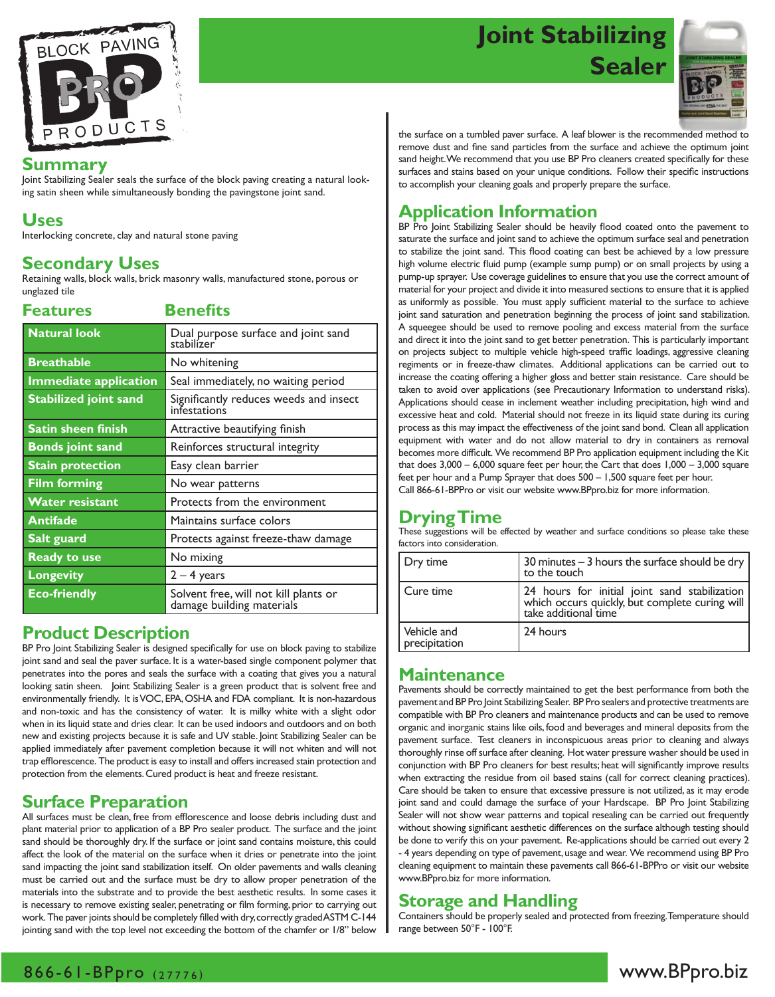

# **Joint Stabilizing Sealer**



#### **Summary**

Joint Stabilizing Sealer seals the surface of the block paving creating a natural looking satin sheen while simultaneously bonding the pavingstone joint sand.

### **Uses**

Interlocking concrete, clay and natural stone paving

## **Secondary Uses**

Retaining walls, block walls, brick masonry walls, manufactured stone, porous or unglazed tile

| <b>Features</b>              | <b>Benefits</b>                                                    |  |
|------------------------------|--------------------------------------------------------------------|--|
| <b>Natural look</b>          | Dual purpose surface and joint sand<br>stabilizer                  |  |
| <b>Breathable</b>            | No whitening                                                       |  |
| <b>Immediate application</b> | Seal immediately, no waiting period                                |  |
| <b>Stabilized joint sand</b> | Significantly reduces weeds and insect<br>infestations             |  |
| <b>Satin sheen finish</b>    | Attractive beautifying finish                                      |  |
| <b>Bonds joint sand</b>      | Reinforces structural integrity                                    |  |
| <b>Stain protection</b>      | Easy clean barrier                                                 |  |
| <b>Film forming</b>          | No wear patterns                                                   |  |
| <b>Water resistant</b>       | Protects from the environment                                      |  |
| <b>Antifade</b>              | Maintains surface colors                                           |  |
| Salt guard                   | Protects against freeze-thaw damage                                |  |
| <b>Ready to use</b>          | No mixing                                                          |  |
| <b>Longevity</b>             | $2 - 4$ years                                                      |  |
| <b>Eco-friendly</b>          | Solvent free, will not kill plants or<br>damage building materials |  |

### **Product Description**

BP Pro Joint Stabilizing Sealer is designed specifically for use on block paving to stabilize joint sand and seal the paver surface. It is a water-based single component polymer that penetrates into the pores and seals the surface with a coating that gives you a natural looking satin sheen. Joint Stabilizing Sealer is a green product that is solvent free and environmentally friendly. It is VOC, EPA, OSHA and FDA compliant. It is non-hazardous and non-toxic and has the consistency of water. It is milky white with a slight odor when in its liquid state and dries clear. It can be used indoors and outdoors and on both new and existing projects because it is safe and UV stable. Joint Stabilizing Sealer can be applied immediately after pavement completion because it will not whiten and will not trap efflorescence. The product is easy to install and offers increased stain protection and protection from the elements. Cured product is heat and freeze resistant.

## **Surface Preparation**

All surfaces must be clean, free from efflorescence and loose debris including dust and plant material prior to application of a BP Pro sealer product. The surface and the joint sand should be thoroughly dry. If the surface or joint sand contains moisture, this could affect the look of the material on the surface when it dries or penetrate into the joint sand impacting the joint sand stabilization itself. On older pavements and walls cleaning must be carried out and the surface must be dry to allow proper penetration of the materials into the substrate and to provide the best aesthetic results. In some cases it is necessary to remove existing sealer, penetrating or film forming, prior to carrying out work. The paver joints should be completely filled with dry, correctly graded ASTM C-144 jointing sand with the top level not exceeding the bottom of the chamfer or 1/8" below

the surface on a tumbled paver surface. A leaf blower is the recommended method to remove dust and fine sand particles from the surface and achieve the optimum joint sand height. We recommend that you use BP Pro cleaners created specifically for these surfaces and stains based on your unique conditions. Follow their specific instructions to accomplish your cleaning goals and properly prepare the surface.

## **Application Information**

BP Pro Joint Stabilizing Sealer should be heavily flood coated onto the pavement to saturate the surface and joint sand to achieve the optimum surface seal and penetration to stabilize the joint sand. This flood coating can best be achieved by a low pressure high volume electric fluid pump (example sump pump) or on small projects by using a pump-up sprayer. Use coverage guidelines to ensure that you use the correct amount of material for your project and divide it into measured sections to ensure that it is applied as uniformly as possible. You must apply sufficient material to the surface to achieve joint sand saturation and penetration beginning the process of joint sand stabilization. A squeegee should be used to remove pooling and excess material from the surface and direct it into the joint sand to get better penetration. This is particularly important on projects subject to multiple vehicle high-speed traffic loadings, aggressive cleaning regiments or in freeze-thaw climates. Additional applications can be carried out to increase the coating offering a higher gloss and better stain resistance. Care should be taken to avoid over applications (see Precautionary Information to understand risks). Applications should cease in inclement weather including precipitation, high wind and excessive heat and cold. Material should not freeze in its liquid state during its curing process as this may impact the effectiveness of the joint sand bond. Clean all application equipment with water and do not allow material to dry in containers as removal becomes more difficult. We recommend BP Pro application equipment including the Kit that does  $3,000 - 6,000$  square feet per hour, the Cart that does  $1,000 - 3,000$  square feet per hour and a Pump Sprayer that does 500 – 1,500 square feet per hour. Call 866-61-BPPro or visit our website www.BPpro.biz for more information.

## **Drying Time**

These suggestions will be effected by weather and surface conditions so please take these factors into consideration.

| Dry time                     | 30 minutes $-$ 3 hours the surface should be dry  <br>to the touch                                                          |
|------------------------------|-----------------------------------------------------------------------------------------------------------------------------|
| Cure time                    | 24 hours for initial joint sand stabilization  <br>  which occurs quickly, but complete curing will<br>take additional time |
| Vehicle and<br>precipitation | 24 hours                                                                                                                    |

### **Maintenance**

Pavements should be correctly maintained to get the best performance from both the pavement and BP Pro Joint Stabilizing Sealer. BP Pro sealers and protective treatments are compatible with BP Pro cleaners and maintenance products and can be used to remove organic and inorganic stains like oils, food and beverages and mineral deposits from the pavement surface. Test cleaners in inconspicuous areas prior to cleaning and always thoroughly rinse off surface after cleaning. Hot water pressure washer should be used in conjunction with BP Pro cleaners for best results; heat will significantly improve results when extracting the residue from oil based stains (call for correct cleaning practices). Care should be taken to ensure that excessive pressure is not utilized, as it may erode joint sand and could damage the surface of your Hardscape. BP Pro Joint Stabilizing Sealer will not show wear patterns and topical resealing can be carried out frequently without showing significant aesthetic differences on the surface although testing should be done to verify this on your pavement. Re-applications should be carried out every 2 - 4 years depending on type of pavement, usage and wear. We recommend using BP Pro cleaning equipment to maintain these pavements call 866-61-BPPro or visit our website www.BPpro.biz for more information.

## **Storage and Handling**

Containers should be properly sealed and protected from freezing. Temperature should range between 50°F - 100°F.